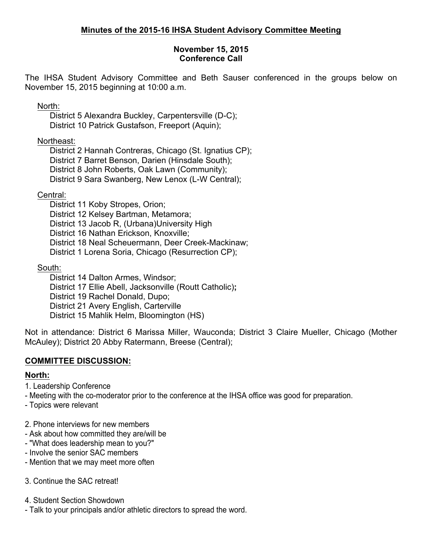#### **November 15, 2015 Conference Call**

The IHSA Student Advisory Committee and Beth Sauser conferenced in the groups below on November 15, 2015 beginning at 10:00 a.m.

North:

District 5 Alexandra Buckley, Carpentersville (D-C); District 10 Patrick Gustafson, Freeport (Aquin);

Northeast:

District 2 Hannah Contreras, Chicago (St. Ignatius CP); District 7 Barret Benson, Darien (Hinsdale South); District 8 John Roberts, Oak Lawn (Community); District 9 Sara Swanberg, New Lenox (L-W Central);

Central:

District 11 Koby Stropes, Orion;

District 12 Kelsey Bartman, Metamora;

District 13 Jacob R, (Urbana)University High

District 16 Nathan Erickson, Knoxville;

District 18 Neal Scheuermann, Deer Creek-Mackinaw;

District 1 Lorena Soria, Chicago (Resurrection CP);

South:

District 14 Dalton Armes, Windsor; District 17 Ellie Abell, Jacksonville (Routt Catholic)**;** District 19 Rachel Donald, Dupo; District 21 Avery English, Carterville District 15 Mahlik Helm, Bloomington (HS)

Not in attendance: District 6 Marissa Miller, Wauconda; District 3 Claire Mueller, Chicago (Mother McAuley); District 20 Abby Ratermann, Breese (Central);

# **COMMITTEE DISCUSSION:**

## **North:**

1. Leadership Conference

- Meeting with the co-moderator prior to the conference at the IHSA office was good for preparation.

- Topics were relevant

2. Phone interviews for new members

- Ask about how committed they are/will be
- "What does leadership mean to you?"
- Involve the senior SAC members
- Mention that we may meet more often

3. Continue the SAC retreat!

4. Student Section Showdown

- Talk to your principals and/or athletic directors to spread the word.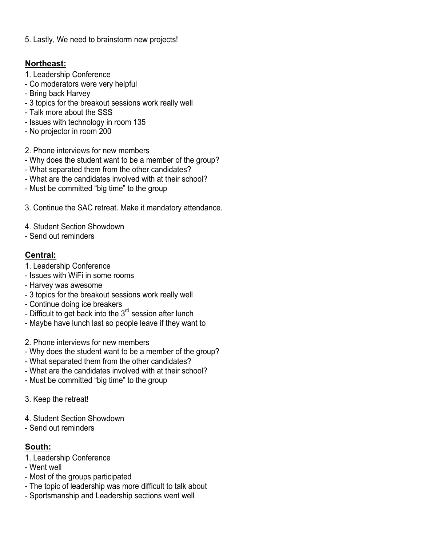5. Lastly, We need to brainstorm new projects!

### **Northeast:**

- 1. Leadership Conference
- Co moderators were very helpful
- Bring back Harvey
- 3 topics for the breakout sessions work really well
- Talk more about the SSS
- Issues with technology in room 135
- No projector in room 200
- 2. Phone interviews for new members
- Why does the student want to be a member of the group?
- What separated them from the other candidates?
- What are the candidates involved with at their school?
- Must be committed "big time" to the group
- 3. Continue the SAC retreat. Make it mandatory attendance.
- 4. Student Section Showdown
- Send out reminders

## **Central:**

- 1. Leadership Conference
- Issues with WiFi in some rooms
- Harvey was awesome
- 3 topics for the breakout sessions work really well
- Continue doing ice breakers
- Difficult to get back into the  $3<sup>rd</sup>$  session after lunch
- Maybe have lunch last so people leave if they want to
- 2. Phone interviews for new members
- Why does the student want to be a member of the group?
- What separated them from the other candidates?
- What are the candidates involved with at their school?
- Must be committed "big time" to the group
- 3. Keep the retreat!
- 4. Student Section Showdown
- Send out reminders

## **South:**

- 1. Leadership Conference
- Went well
- Most of the groups participated
- The topic of leadership was more difficult to talk about
- Sportsmanship and Leadership sections went well